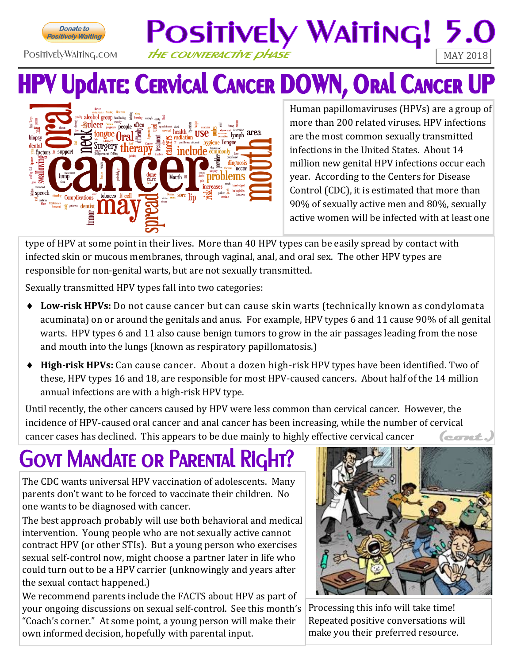

#### PositivelyWaiting.com THE COUNTERACTIVE DHASE

# **HPV Update: CERVICAL CANCER DOWN, ORAL CANCER UP**

POSITIVELY WAITING! 5.



Human papillomaviruses (HPVs) are a group of more than 200 related viruses. HPV infections are the most common sexually transmitted infections in the United States. About 14 million new genital HPV infections occur each year. According to the Centers for Disease Control (CDC), it is estimated that more than 90% of sexually active men and 80%, sexually active women will be infected with at least one

type of HPV at some point in their lives. More than 40 HPV types can be easily spread by contact with infected skin or mucous membranes, through vaginal, anal, and oral sex. The other HPV types are responsible for non-genital warts, but are not sexually transmitted.

Sexually transmitted HPV types fall into two categories:

- **Low-risk HPVs:** Do not cause cancer but can cause skin warts (technically known as condylomata acuminata) on or around the genitals and anus. For example, HPV types 6 and 11 cause 90% of all genital warts. HPV types 6 and 11 also cause benign tumors to grow in the air passages leading from the nose and mouth into the lungs (known as respiratory papillomatosis.)
- **High-risk HPVs:** Can cause cancer. About a dozen high-risk HPV types have been identified. Two of these, HPV types 16 and 18, are responsible for most HPV-caused cancers. About half of the 14 million annual infections are with a high-risk HPV type.

Until recently, the other cancers caused by HPV were less common than cervical cancer. However, the incidence of HPV-caused oral cancer and anal cancer has been increasing, while the number of cervical cancer cases has declined. This appears to be due mainly to highly effective cervical cancer lecret.

# **GOVT MANDATE OR PARENTAL RIGI**

The CDC wants universal HPV vaccination of adolescents. Many parents don't want to be forced to vaccinate their children. No one wants to be diagnosed with cancer.

The best approach probably will use both behavioral and medical intervention. Young people who are not sexually active cannot contract HPV (or other STIs). But a young person who exercises sexual self-control now, might choose a partner later in life who could turn out to be a HPV carrier (unknowingly and years after the sexual contact happened.)

We recommend parents include the FACTS about HPV as part of your ongoing discussions on sexual self-control. See this month's "Coach's corner." At some point, a young person will make their own informed decision, hopefully with parental input.



Processing this info will take time! Repeated positive conversations will make you their preferred resource.